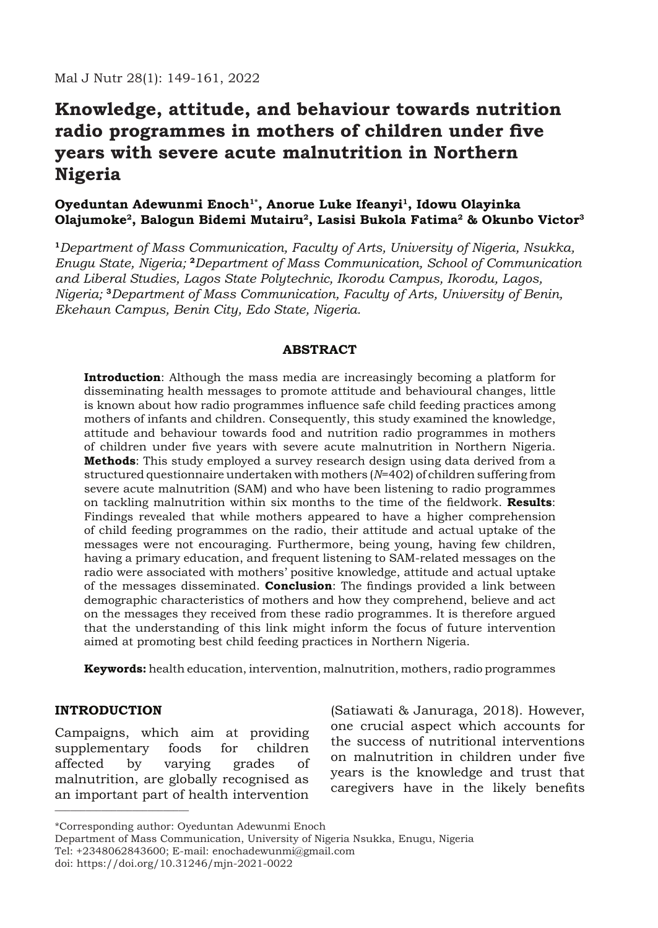# **Knowledge, attitude, and behaviour towards nutrition radio programmes in mothers of children under five years with severe acute malnutrition in Northern Nigeria**

# **Oyeduntan Adewunmi Enoch1\*, Anorue Luke Ifeanyi1, Idowu Olayinka Olajumoke2, Balogun Bidemi Mutairu2, Lasisi Bukola Fatima2 & Okunbo Victor3**

**<sup>1</sup>***Department of Mass Communication, Faculty of Arts, University of Nigeria, Nsukka, Enugu State, Nigeria;* **<sup>2</sup>***Department of Mass Communication, School of Communication and Liberal Studies, Lagos State Polytechnic, Ikorodu Campus, Ikorodu, Lagos, Nigeria;* **<sup>3</sup>***Department of Mass Communication, Faculty of Arts, University of Benin, Ekehaun Campus, Benin City, Edo State, Nigeria.*

## **ABSTRACT**

**Introduction**: Although the mass media are increasingly becoming a platform for disseminating health messages to promote attitude and behavioural changes, little is known about how radio programmes influence safe child feeding practices among mothers of infants and children. Consequently, this study examined the knowledge, attitude and behaviour towards food and nutrition radio programmes in mothers of children under five years with severe acute malnutrition in Northern Nigeria. **Methods**: This study employed a survey research design using data derived from a structured questionnaire undertaken with mothers (*N*=402) of children suffering from severe acute malnutrition (SAM) and who have been listening to radio programmes on tackling malnutrition within six months to the time of the fieldwork. **Results**: Findings revealed that while mothers appeared to have a higher comprehension of child feeding programmes on the radio, their attitude and actual uptake of the messages were not encouraging. Furthermore, being young, having few children, having a primary education, and frequent listening to SAM-related messages on the radio were associated with mothers' positive knowledge, attitude and actual uptake of the messages disseminated. **Conclusion**: The findings provided a link between demographic characteristics of mothers and how they comprehend, believe and act on the messages they received from these radio programmes. It is therefore argued that the understanding of this link might inform the focus of future intervention aimed at promoting best child feeding practices in Northern Nigeria.

**Keywords:** health education, intervention, malnutrition, mothers, radio programmes

## **INTRODUCTION**

\_\_\_\_\_\_\_\_\_\_\_\_\_\_\_\_\_\_\_\_\_\_\_\_\_\_ Campaigns, which aim at providing supplementary foods for children affected by varying grades of malnutrition, are globally recognised as an important part of health intervention

(Satiawati & Januraga, 2018). However, one crucial aspect which accounts for the success of nutritional interventions on malnutrition in children under five years is the knowledge and trust that caregivers have in the likely benefits

<sup>\*</sup>Corresponding author: Oyeduntan Adewunmi Enoch

Department of Mass Communication, University of Nigeria Nsukka, Enugu, Nigeria Tel: +2348062843600; E-mail: enochadewunmi@gmail.com

doi: https://doi.org/10.31246/mjn-2021-0022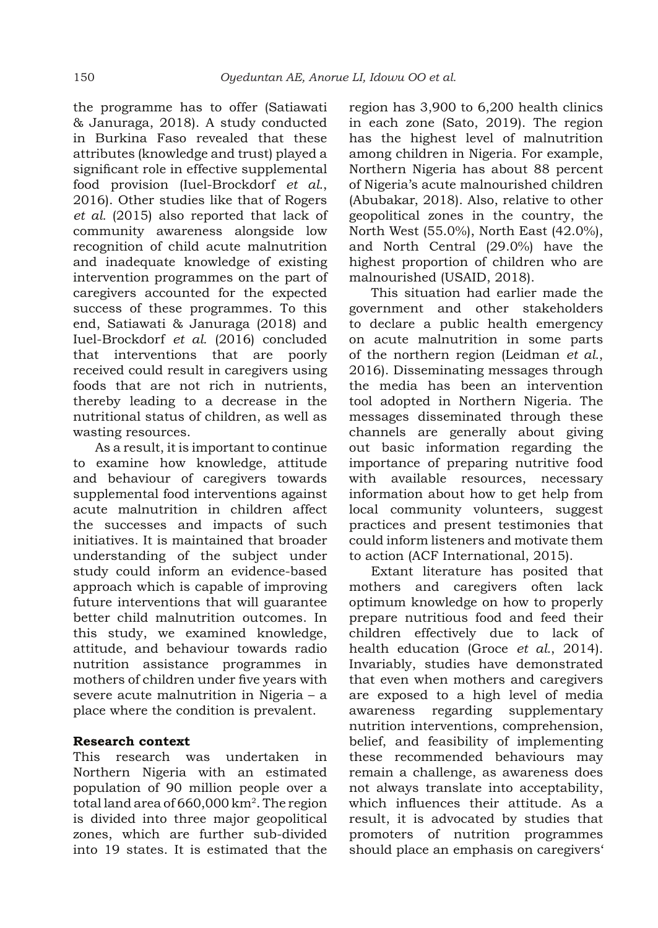the programme has to offer (Satiawati & Januraga, 2018). A study conducted in Burkina Faso revealed that these attributes (knowledge and trust) played a significant role in effective supplemental food provision (Iuel-Brockdorf *et al.*, 2016). Other studies like that of Rogers *et al.* (2015) also reported that lack of community awareness alongside low recognition of child acute malnutrition and inadequate knowledge of existing intervention programmes on the part of caregivers accounted for the expected success of these programmes. To this end, Satiawati & Januraga (2018) and Iuel-Brockdorf *et al.* (2016) concluded that interventions that are poorly received could result in caregivers using foods that are not rich in nutrients, thereby leading to a decrease in the nutritional status of children, as well as wasting resources.

As a result, it is important to continue to examine how knowledge, attitude and behaviour of caregivers towards supplemental food interventions against acute malnutrition in children affect the successes and impacts of such initiatives. It is maintained that broader understanding of the subject under study could inform an evidence-based approach which is capable of improving future interventions that will guarantee better child malnutrition outcomes. In this study, we examined knowledge, attitude, and behaviour towards radio nutrition assistance programmes in mothers of children under five years with severe acute malnutrition in Nigeria – a place where the condition is prevalent.

## **Research context**

This research was undertaken in Northern Nigeria with an estimated population of 90 million people over a total land area of 660,000 km2. The region is divided into three major geopolitical zones, which are further sub-divided into 19 states. It is estimated that the

region has 3,900 to 6,200 health clinics in each zone (Sato, 2019). The region has the highest level of malnutrition among children in Nigeria. For example, Northern Nigeria has about 88 percent of Nigeria's acute malnourished children (Abubakar, 2018). Also, relative to other geopolitical zones in the country, the North West (55.0%), North East (42.0%), and North Central (29.0%) have the highest proportion of children who are malnourished (USAID, 2018).

This situation had earlier made the government and other stakeholders to declare a public health emergency on acute malnutrition in some parts of the northern region (Leidman *et al.*, 2016). Disseminating messages through the media has been an intervention tool adopted in Northern Nigeria. The messages disseminated through these channels are generally about giving out basic information regarding the importance of preparing nutritive food with available resources, necessary information about how to get help from local community volunteers, suggest practices and present testimonies that could inform listeners and motivate them to action (ACF International, 2015).

Extant literature has posited that mothers and caregivers often lack optimum knowledge on how to properly prepare nutritious food and feed their children effectively due to lack of health education (Groce *et al.*, 2014). Invariably, studies have demonstrated that even when mothers and caregivers are exposed to a high level of media awareness regarding supplementary nutrition interventions, comprehension, belief, and feasibility of implementing these recommended behaviours may remain a challenge, as awareness does not always translate into acceptability, which influences their attitude. As a result, it is advocated by studies that promoters of nutrition programmes should place an emphasis on caregivers'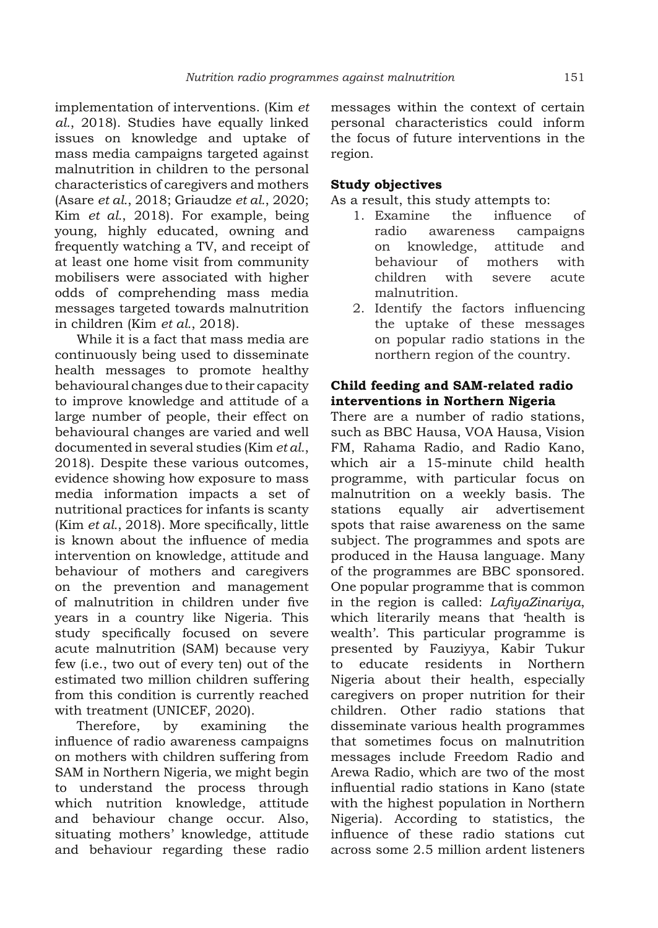implementation of interventions. (Kim *et al.*, 2018). Studies have equally linked issues on knowledge and uptake of mass media campaigns targeted against malnutrition in children to the personal characteristics of caregivers and mothers (Asare *et al.*, 2018; Griaudze *et al.*, 2020; Kim *et al.*, 2018). For example, being young, highly educated, owning and frequently watching a TV, and receipt of at least one home visit from community mobilisers were associated with higher odds of comprehending mass media messages targeted towards malnutrition in children (Kim *et al.*, 2018).

While it is a fact that mass media are continuously being used to disseminate health messages to promote healthy behavioural changes due to their capacity to improve knowledge and attitude of a large number of people, their effect on behavioural changes are varied and well documented in several studies (Kim *et al.*, 2018). Despite these various outcomes, evidence showing how exposure to mass media information impacts a set of nutritional practices for infants is scanty (Kim *et al.*, 2018). More specifically, little is known about the influence of media intervention on knowledge, attitude and behaviour of mothers and caregivers on the prevention and management of malnutrition in children under five years in a country like Nigeria. This study specifically focused on severe acute malnutrition (SAM) because very few (i.e., two out of every ten) out of the estimated two million children suffering from this condition is currently reached with treatment (UNICEF, 2020).

Therefore, by examining the influence of radio awareness campaigns on mothers with children suffering from SAM in Northern Nigeria, we might begin to understand the process through which nutrition knowledge, attitude and behaviour change occur. Also, situating mothers' knowledge, attitude and behaviour regarding these radio

messages within the context of certain personal characteristics could inform the focus of future interventions in the region.

## **Study objectives**

As a result, this study attempts to:

- 1. Examine the influence of radio awareness campaigns on knowledge, attitude and behaviour of mothers with children with severe acute malnutrition.
- 2. Identify the factors influencing the uptake of these messages on popular radio stations in the northern region of the country.

## **Child feeding and SAM-related radio interventions in Northern Nigeria**

There are a number of radio stations, such as BBC Hausa, VOA Hausa, Vision FM, Rahama Radio, and Radio Kano, which air a 15-minute child health programme, with particular focus on malnutrition on a weekly basis. The stations equally air advertisement spots that raise awareness on the same subject. The programmes and spots are produced in the Hausa language. Many of the programmes are BBC sponsored. One popular programme that is common in the region is called: *LafiyaZinariya*, which literarily means that 'health is wealth'. This particular programme is presented by Fauziyya, Kabir Tukur to educate residents in Northern Nigeria about their health, especially caregivers on proper nutrition for their children. Other radio stations that disseminate various health programmes that sometimes focus on malnutrition messages include Freedom Radio and Arewa Radio, which are two of the most influential radio stations in Kano (state with the highest population in Northern Nigeria). According to statistics, the influence of these radio stations cut across some 2.5 million ardent listeners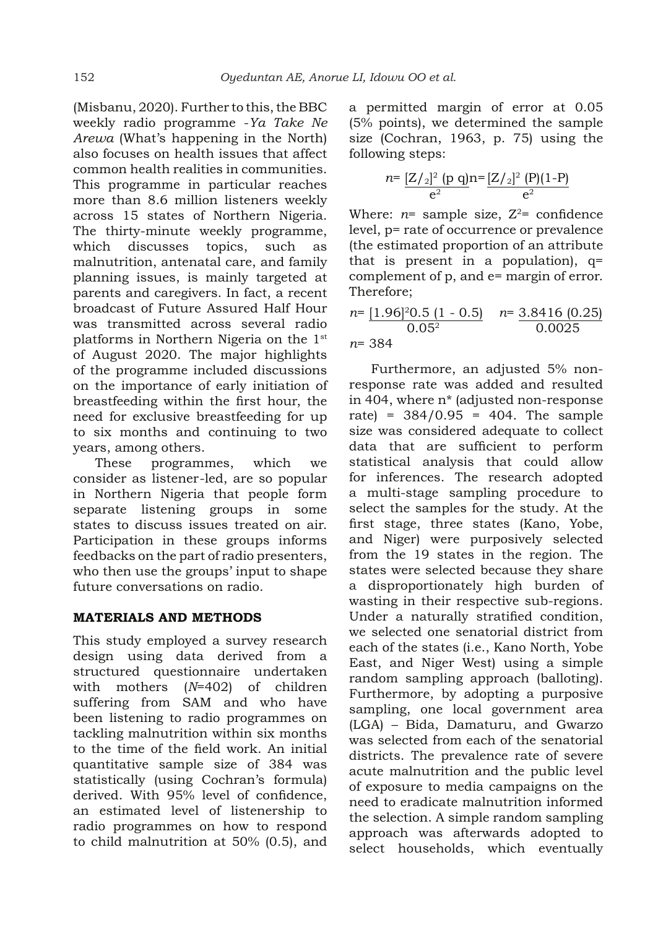(Misbanu, 2020). Further to this, the BBC weekly radio programme -*Ya Take Ne Arewa* (What's happening in the North) also focuses on health issues that affect common health realities in communities. This programme in particular reaches more than 8.6 million listeners weekly across 15 states of Northern Nigeria. The thirty-minute weekly programme, which discusses topics, such as malnutrition, antenatal care, and family planning issues, is mainly targeted at parents and caregivers. In fact, a recent broadcast of Future Assured Half Hour was transmitted across several radio platforms in Northern Nigeria on the 1st of August 2020. The major highlights of the programme included discussions on the importance of early initiation of breastfeeding within the first hour, the need for exclusive breastfeeding for up to six months and continuing to two years, among others.

These programmes, which we consider as listener-led, are so popular in Northern Nigeria that people form separate listening groups in some states to discuss issues treated on air. Participation in these groups informs feedbacks on the part of radio presenters, who then use the groups' input to shape future conversations on radio.

# **MATERIALS AND METHODS**

This study employed a survey research design using data derived from a structured questionnaire undertaken with mothers (*N*=402) of children suffering from SAM and who have been listening to radio programmes on tackling malnutrition within six months to the time of the field work. An initial quantitative sample size of 384 was statistically (using Cochran's formula) derived. With 95% level of confidence, an estimated level of listenership to radio programmes on how to respond to child malnutrition at 50% (0.5), and a permitted margin of error at 0.05 (5% points), we determined the sample size (Cochran, 1963, p. 75) using the following steps:

$$
n = \frac{[Z/2]^2 (p \text{ q})}{e^2} n = \frac{[Z/2]^2 (P)(1-P)}{e^2}
$$

Where:  $n=$  sample size,  $Z^2=$  confidence level, p= rate of occurrence or prevalence (the estimated proportion of an attribute that is present in a population),  $q=$ complement of p, and e= margin of error. Therefore;

$$
n = \underbrace{[1.96]^2 0.5 \ (1 - 0.5)}_{0.05^2} \quad n = \underbrace{3.8416 \ (0.25)}_{0.0025}
$$
\n
$$
n = 384
$$

Furthermore, an adjusted 5% nonresponse rate was added and resulted in 404, where n\* (adjusted non-response rate) =  $384/0.95$  = 404. The sample size was considered adequate to collect data that are sufficient to perform statistical analysis that could allow for inferences. The research adopted a multi-stage sampling procedure to select the samples for the study. At the first stage, three states (Kano, Yobe, and Niger) were purposively selected from the 19 states in the region. The states were selected because they share a disproportionately high burden of wasting in their respective sub-regions. Under a naturally stratified condition, we selected one senatorial district from each of the states (i.e., Kano North, Yobe East, and Niger West) using a simple random sampling approach (balloting). Furthermore, by adopting a purposive sampling, one local government area (LGA) – Bida, Damaturu, and Gwarzo was selected from each of the senatorial districts. The prevalence rate of severe acute malnutrition and the public level of exposure to media campaigns on the need to eradicate malnutrition informed the selection. A simple random sampling approach was afterwards adopted to select households, which eventually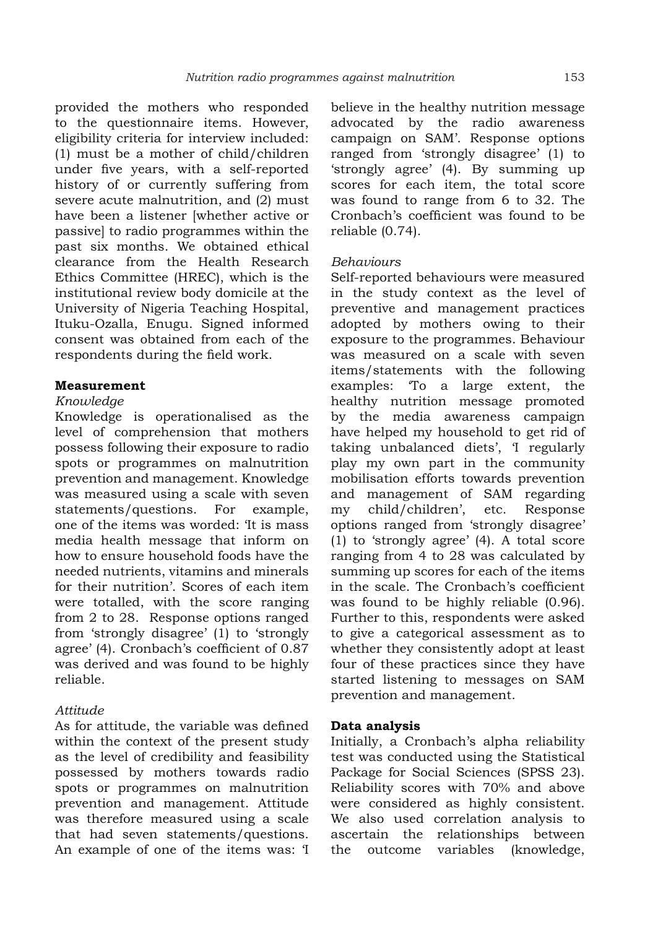provided the mothers who responded to the questionnaire items. However, eligibility criteria for interview included: (1) must be a mother of child/children under five years, with a self-reported history of or currently suffering from severe acute malnutrition, and (2) must have been a listener [whether active or passive] to radio programmes within the past six months. We obtained ethical clearance from the Health Research Ethics Committee (HREC), which is the institutional review body domicile at the University of Nigeria Teaching Hospital, Ituku-Ozalla, Enugu. Signed informed consent was obtained from each of the respondents during the field work.

#### **Measurement**

#### *Knowledge*

Knowledge is operationalised as the level of comprehension that mothers possess following their exposure to radio spots or programmes on malnutrition prevention and management. Knowledge was measured using a scale with seven statements/questions. For example, one of the items was worded: 'It is mass media health message that inform on how to ensure household foods have the needed nutrients, vitamins and minerals for their nutrition'. Scores of each item were totalled, with the score ranging from 2 to 28. Response options ranged from 'strongly disagree' (1) to 'strongly agree' (4). Cronbach's coefficient of 0.87 was derived and was found to be highly reliable.

## *Attitude*

As for attitude, the variable was defined within the context of the present study as the level of credibility and feasibility possessed by mothers towards radio spots or programmes on malnutrition prevention and management. Attitude was therefore measured using a scale that had seven statements/questions. An example of one of the items was: 'I

believe in the healthy nutrition message advocated by the radio awareness campaign on SAM'. Response options ranged from 'strongly disagree' (1) to 'strongly agree' (4). By summing up scores for each item, the total score was found to range from 6 to 32. The Cronbach's coefficient was found to be reliable (0.74).

#### *Behaviours*

Self-reported behaviours were measured in the study context as the level of preventive and management practices adopted by mothers owing to their exposure to the programmes. Behaviour was measured on a scale with seven items/statements with the following examples: 'To a large extent, the healthy nutrition message promoted by the media awareness campaign have helped my household to get rid of taking unbalanced diets', 'I regularly play my own part in the community mobilisation efforts towards prevention and management of SAM regarding my child/children', etc. Response options ranged from 'strongly disagree' (1) to 'strongly agree' (4). A total score ranging from 4 to 28 was calculated by summing up scores for each of the items in the scale. The Cronbach's coefficient was found to be highly reliable (0.96). Further to this, respondents were asked to give a categorical assessment as to whether they consistently adopt at least four of these practices since they have started listening to messages on SAM prevention and management.

## **Data analysis**

Initially, a Cronbach's alpha reliability test was conducted using the Statistical Package for Social Sciences (SPSS 23). Reliability scores with 70% and above were considered as highly consistent. We also used correlation analysis to ascertain the relationships between the outcome variables (knowledge,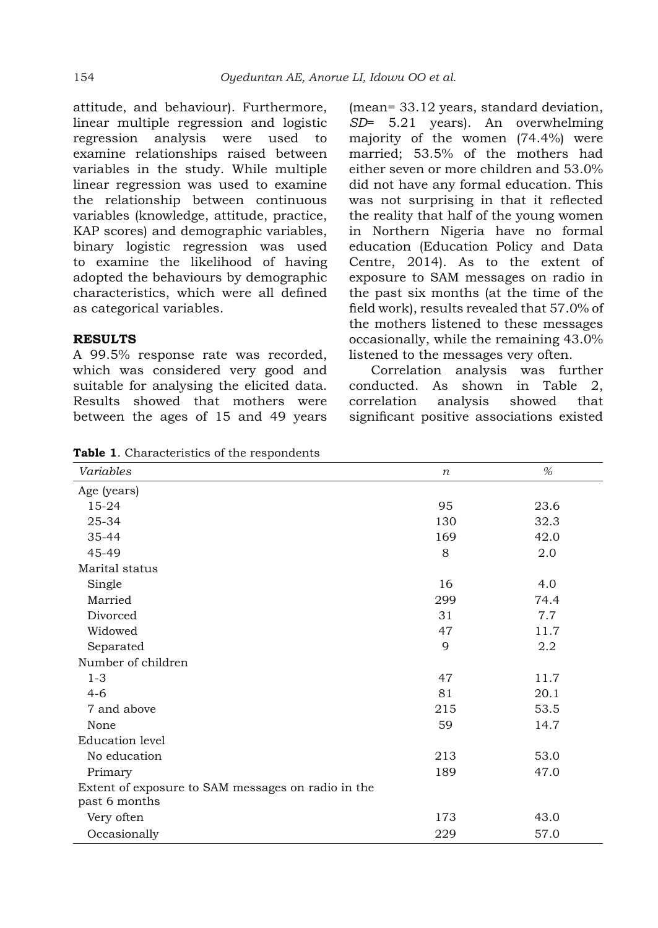attitude, and behaviour). Furthermore, linear multiple regression and logistic regression analysis were used to examine relationships raised between variables in the study. While multiple linear regression was used to examine the relationship between continuous variables (knowledge, attitude, practice, KAP scores) and demographic variables, binary logistic regression was used to examine the likelihood of having adopted the behaviours by demographic characteristics, which were all defined as categorical variables.

#### **RESULTS**

A 99.5% response rate was recorded, which was considered very good and suitable for analysing the elicited data. Results showed that mothers were between the ages of 15 and 49 years (mean= 33.12 years, standard deviation, *SD*= 5.21 years). An overwhelming majority of the women (74.4%) were married; 53.5% of the mothers had either seven or more children and 53.0% did not have any formal education. This was not surprising in that it reflected the reality that half of the young women in Northern Nigeria have no formal education (Education Policy and Data Centre, 2014). As to the extent of exposure to SAM messages on radio in the past six months (at the time of the field work), results revealed that 57.0% of the mothers listened to these messages occasionally, while the remaining 43.0% listened to the messages very often.

Correlation analysis was further conducted. As shown in Table 2, correlation analysis showed that significant positive associations existed

| <u> characteristics</u> of the responsemen<br>Variables             |                  | %    |
|---------------------------------------------------------------------|------------------|------|
|                                                                     | $\boldsymbol{n}$ |      |
| Age (years)                                                         |                  |      |
| $15 - 24$                                                           | 95               | 23.6 |
| 25-34                                                               | 130              | 32.3 |
| 35-44                                                               | 169              | 42.0 |
| 45-49                                                               | 8                | 2.0  |
| Marital status                                                      |                  |      |
| Single                                                              | 16               | 4.0  |
| Married                                                             | 299              | 74.4 |
| Divorced                                                            | 31               | 7.7  |
| Widowed                                                             | 47               | 11.7 |
| Separated                                                           | 9                | 2.2  |
| Number of children                                                  |                  |      |
| $1 - 3$                                                             | 47               | 11.7 |
| $4-6$                                                               | 81               | 20.1 |
| 7 and above                                                         | 215              | 53.5 |
| None                                                                | 59               | 14.7 |
| Education level                                                     |                  |      |
| No education                                                        | 213              | 53.0 |
| Primary                                                             | 189              | 47.0 |
| Extent of exposure to SAM messages on radio in the<br>past 6 months |                  |      |
| Very often                                                          | 173              | 43.0 |
| Occasionally                                                        | 229              | 57.0 |

**Table 1**. Characteristics of the respondents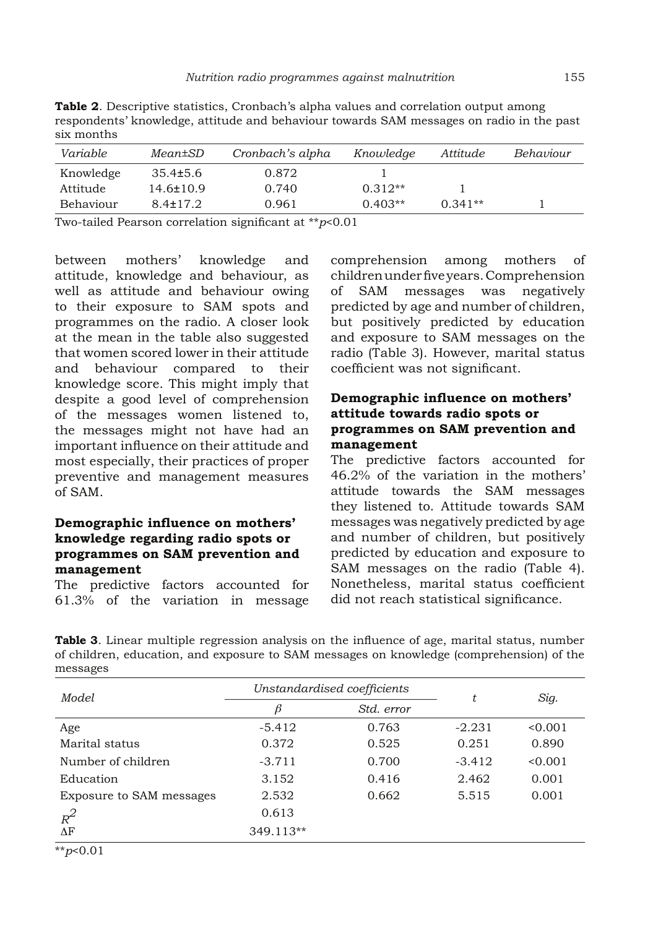|                                                                                             |                      | <b>Table 2.</b> Descriptive statistics, Cronbach's alpha values and correlation output among |                         |                     |                         |
|---------------------------------------------------------------------------------------------|----------------------|----------------------------------------------------------------------------------------------|-------------------------|---------------------|-------------------------|
| six months                                                                                  |                      | respondents' knowledge, attitude and behaviour towards SAM messages on radio in the past     |                         |                     |                         |
| $\overline{17}$ and $\overline{2}$ and $\overline{1}$ and $\overline{1}$ and $\overline{1}$ | $M_{\odot}$ and $CD$ | $C_{\text{max}}$ to a oto $2\pi$ of the lags                                                 | $U_1, \ldots, I_n, J_m$ | $1 + i + j + j + k$ | $D - 1 - 2 - 3 - 3 - 3$ |

| Variable  | Mean±SD         | Cronbach's alpha | Knowledge | Attitude  | Behaviour |
|-----------|-----------------|------------------|-----------|-----------|-----------|
| Knowledge | $35.4 \pm 5.6$  | 0.872            |           |           |           |
| Attitude  | $14.6 \pm 10.9$ | 0.740            | $0.312**$ |           |           |
| Behaviour | $8.4 \pm 17.2$  | 0.961            | $0.403**$ | $0.341**$ |           |
|           |                 |                  |           |           |           |

Two-tailed Pearson correlation significant at \*\**p*<0.01

between mothers' knowledge and attitude, knowledge and behaviour, as well as attitude and behaviour owing to their exposure to SAM spots and programmes on the radio. A closer look at the mean in the table also suggested that women scored lower in their attitude and behaviour compared to their knowledge score. This might imply that despite a good level of comprehension of the messages women listened to, the messages might not have had an important influence on their attitude and most especially, their practices of proper preventive and management measures of SAM.

# **Demographic influence on mothers' knowledge regarding radio spots or programmes on SAM prevention and management**

The predictive factors accounted for 61.3% of the variation in message

comprehension among mothers of children under five years. Comprehension of SAM messages was negatively predicted by age and number of children, but positively predicted by education and exposure to SAM messages on the radio (Table 3). However, marital status coefficient was not significant.

## **Demographic influence on mothers' attitude towards radio spots or programmes on SAM prevention and management**

The predictive factors accounted for 46.2% of the variation in the mothers' attitude towards the SAM messages they listened to. Attitude towards SAM messages was negatively predicted by age and number of children, but positively predicted by education and exposure to SAM messages on the radio (Table 4). Nonetheless, marital status coefficient did not reach statistical significance.

**Table 3**. Linear multiple regression analysis on the influence of age, marital status, number of children, education, and exposure to SAM messages on knowledge (comprehension) of the messages

| Model                           | Unstandardised coefficients |            | t        | Sig.    |
|---------------------------------|-----------------------------|------------|----------|---------|
|                                 | β                           | Std. error |          |         |
| Age                             | $-5.412$                    | 0.763      | $-2.231$ | < 0.001 |
| Marital status                  | 0.372                       | 0.525      | 0.251    | 0.890   |
| Number of children              | $-3.711$                    | 0.700      | $-3.412$ | < 0.001 |
| Education                       | 3.152                       | 0.416      | 2.462    | 0.001   |
| <b>Exposure to SAM messages</b> | 2.532                       | 0.662      | 5.515    | 0.001   |
| $R^2$                           | 0.613                       |            |          |         |
| $\Delta F$                      | 349.113**                   |            |          |         |

\*\**p*<0.01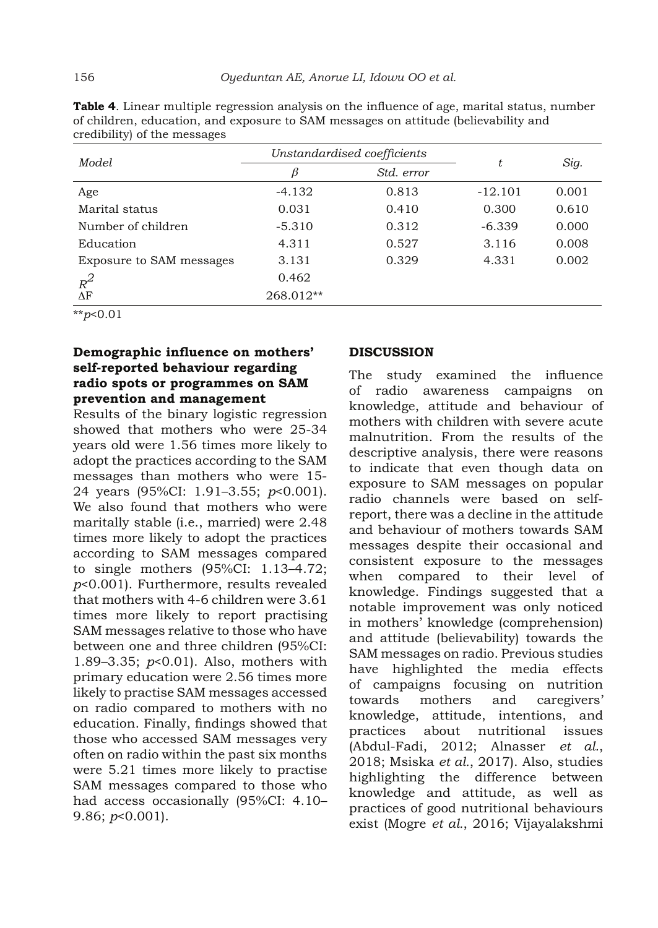| Model                           | Unstandardised coefficients |            |           |       |
|---------------------------------|-----------------------------|------------|-----------|-------|
|                                 | β                           | Std. error | t         | Sig.  |
| Age                             | $-4.132$                    | 0.813      | $-12.101$ | 0.001 |
| Marital status                  | 0.031                       | 0.410      | 0.300     | 0.610 |
| Number of children              | $-5.310$                    | 0.312      | $-6.339$  | 0.000 |
| Education                       | 4.311                       | 0.527      | 3.116     | 0.008 |
| <b>Exposure to SAM messages</b> | 3.131                       | 0.329      | 4.331     | 0.002 |
| $R^2$                           | 0.462                       |            |           |       |
| $\Delta F$                      | 268.012**                   |            |           |       |

**Table 4**. Linear multiple regression analysis on the influence of age, marital status, number of children, education, and exposure to SAM messages on attitude (believability and credibility) of the messages

\*\**p*<0.01

# **Demographic influence on mothers' self-reported behaviour regarding radio spots or programmes on SAM prevention and management**

Results of the binary logistic regression showed that mothers who were 25-34 years old were 1.56 times more likely to adopt the practices according to the SAM messages than mothers who were 15- 24 years (95%CI: 1.91–3.55; *p*<0.001). We also found that mothers who were maritally stable (i.e., married) were 2.48 times more likely to adopt the practices according to SAM messages compared to single mothers (95%CI: 1.13–4.72; *p*<0.001). Furthermore, results revealed that mothers with 4-6 children were 3.61 times more likely to report practising SAM messages relative to those who have between one and three children (95%CI: 1.89–3.35; *p*<0.01). Also, mothers with primary education were 2.56 times more likely to practise SAM messages accessed on radio compared to mothers with no education. Finally, findings showed that those who accessed SAM messages very often on radio within the past six months were 5.21 times more likely to practise SAM messages compared to those who had access occasionally (95%CI: 4.10– 9.86; *p*<0.001).

# **DISCUSSION**

The study examined the influence of radio awareness campaigns on knowledge, attitude and behaviour of mothers with children with severe acute malnutrition. From the results of the descriptive analysis, there were reasons to indicate that even though data on exposure to SAM messages on popular radio channels were based on selfreport, there was a decline in the attitude and behaviour of mothers towards SAM messages despite their occasional and consistent exposure to the messages when compared to their level of knowledge. Findings suggested that a notable improvement was only noticed in mothers' knowledge (comprehension) and attitude (believability) towards the SAM messages on radio. Previous studies have highlighted the media effects of campaigns focusing on nutrition towards mothers and caregivers' knowledge, attitude, intentions, and practices about nutritional issues (Abdul-Fadi, 2012; Alnasser *et al.*, 2018; Msiska *et al.*, 2017). Also, studies highlighting the difference between knowledge and attitude, as well as practices of good nutritional behaviours exist (Mogre *et al.*, 2016; Vijayalakshmi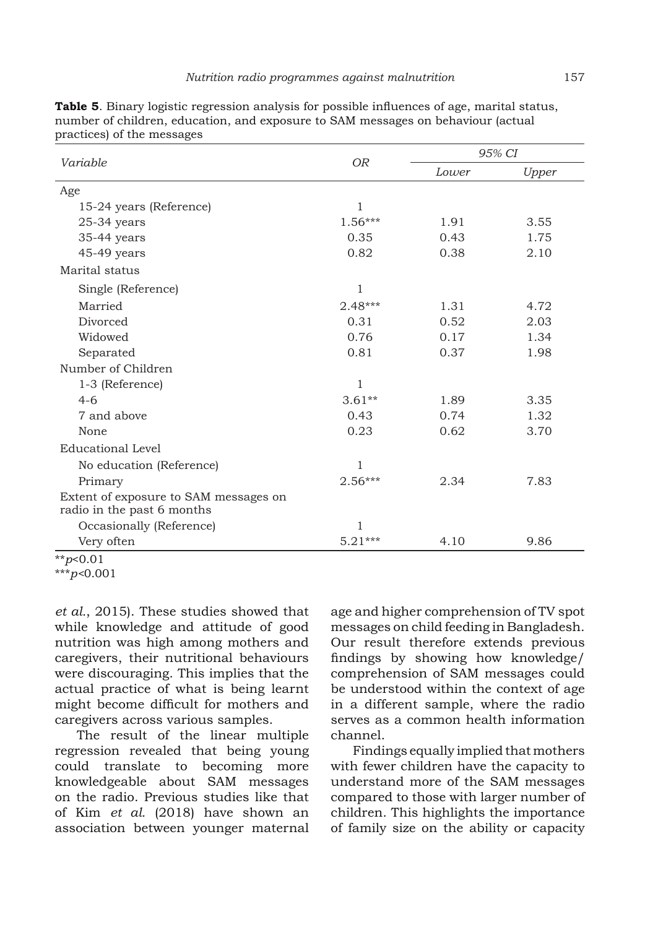|                                                                     |                |       | 95% CI |  |  |
|---------------------------------------------------------------------|----------------|-------|--------|--|--|
| Variable                                                            | O <sub>R</sub> | Lower | Upper  |  |  |
| Age                                                                 |                |       |        |  |  |
| 15-24 years (Reference)                                             | $\mathbf{1}$   |       |        |  |  |
| $25-34$ years                                                       | $1.56***$      | 1.91  | 3.55   |  |  |
| 35-44 years                                                         | 0.35           | 0.43  | 1.75   |  |  |
| 45-49 years                                                         | 0.82           | 0.38  | 2.10   |  |  |
| Marital status                                                      |                |       |        |  |  |
| Single (Reference)                                                  | $\mathbf{1}$   |       |        |  |  |
| Married                                                             | $2.48***$      | 1.31  | 4.72   |  |  |
| Divorced                                                            | 0.31           | 0.52  | 2.03   |  |  |
| Widowed                                                             | 0.76           | 0.17  | 1.34   |  |  |
| Separated                                                           | 0.81           | 0.37  | 1.98   |  |  |
| Number of Children                                                  |                |       |        |  |  |
| 1-3 (Reference)                                                     | $\mathbf{1}$   |       |        |  |  |
| $4-6$                                                               | $3.61**$       | 1.89  | 3.35   |  |  |
| 7 and above                                                         | 0.43           | 0.74  | 1.32   |  |  |
| None                                                                | 0.23           | 0.62  | 3.70   |  |  |
| <b>Educational Level</b>                                            |                |       |        |  |  |
| No education (Reference)                                            | $\mathbf{1}$   |       |        |  |  |
| Primary                                                             | $2.56***$      | 2.34  | 7.83   |  |  |
| Extent of exposure to SAM messages on<br>radio in the past 6 months |                |       |        |  |  |
| Occasionally (Reference)                                            | 1              |       |        |  |  |
| Very often                                                          | $5.21***$      | 4.10  | 9.86   |  |  |

**Table 5**. Binary logistic regression analysis for possible influences of age, marital status, number of children, education, and exposure to SAM messages on behaviour (actual practices) of the messages

*et al.*, 2015). These studies showed that while knowledge and attitude of good nutrition was high among mothers and caregivers, their nutritional behaviours were discouraging. This implies that the actual practice of what is being learnt might become difficult for mothers and caregivers across various samples.

The result of the linear multiple regression revealed that being young could translate to becoming more knowledgeable about SAM messages on the radio. Previous studies like that of Kim *et al.* (2018) have shown an association between younger maternal

age and higher comprehension of TV spot messages on child feeding in Bangladesh. Our result therefore extends previous findings by showing how knowledge/ comprehension of SAM messages could be understood within the context of age in a different sample, where the radio serves as a common health information channel.

Findings equally implied that mothers with fewer children have the capacity to understand more of the SAM messages compared to those with larger number of children. This highlights the importance of family size on the ability or capacity

<sup>\*\*</sup>*p*<0.01

<sup>\*\*\*</sup>*p<*0.001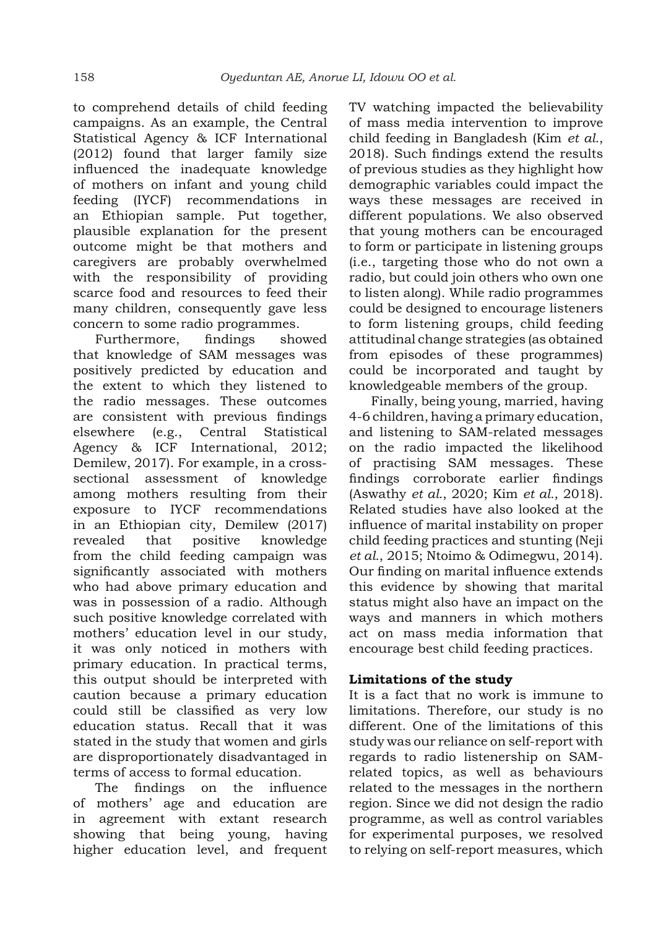to comprehend details of child feeding campaigns. As an example, the Central Statistical Agency & ICF International (2012) found that larger family size influenced the inadequate knowledge of mothers on infant and young child feeding (IYCF) recommendations in an Ethiopian sample. Put together, plausible explanation for the present outcome might be that mothers and caregivers are probably overwhelmed with the responsibility of providing scarce food and resources to feed their many children, consequently gave less concern to some radio programmes.

Furthermore, findings showed that knowledge of SAM messages was positively predicted by education and the extent to which they listened to the radio messages. These outcomes are consistent with previous findings elsewhere (e.g., Central Statistical Agency & ICF International, 2012; Demilew, 2017). For example, in a crosssectional assessment of knowledge among mothers resulting from their exposure to IYCF recommendations in an Ethiopian city, Demilew (2017) revealed that positive knowledge from the child feeding campaign was significantly associated with mothers who had above primary education and was in possession of a radio. Although such positive knowledge correlated with mothers' education level in our study, it was only noticed in mothers with primary education. In practical terms, this output should be interpreted with caution because a primary education could still be classified as very low education status. Recall that it was stated in the study that women and girls are disproportionately disadvantaged in terms of access to formal education.

The findings on the influence of mothers' age and education are in agreement with extant research showing that being young, having higher education level, and frequent TV watching impacted the believability of mass media intervention to improve child feeding in Bangladesh (Kim *et al.*, 2018). Such findings extend the results of previous studies as they highlight how demographic variables could impact the ways these messages are received in different populations. We also observed that young mothers can be encouraged to form or participate in listening groups (i.e., targeting those who do not own a radio, but could join others who own one to listen along). While radio programmes could be designed to encourage listeners to form listening groups, child feeding attitudinal change strategies (as obtained from episodes of these programmes) could be incorporated and taught by knowledgeable members of the group.

Finally, being young, married, having 4-6 children, having a primary education, and listening to SAM-related messages on the radio impacted the likelihood of practising SAM messages. These findings corroborate earlier findings (Aswathy *et al.*, 2020; Kim *et al.*, 2018). Related studies have also looked at the influence of marital instability on proper child feeding practices and stunting (Neji *et al.*, 2015; Ntoimo & Odimegwu, 2014). Our finding on marital influence extends this evidence by showing that marital status might also have an impact on the ways and manners in which mothers act on mass media information that encourage best child feeding practices.

# **Limitations of the study**

It is a fact that no work is immune to limitations. Therefore, our study is no different. One of the limitations of this study was our reliance on self-report with regards to radio listenership on SAMrelated topics, as well as behaviours related to the messages in the northern region. Since we did not design the radio programme, as well as control variables for experimental purposes, we resolved to relying on self-report measures, which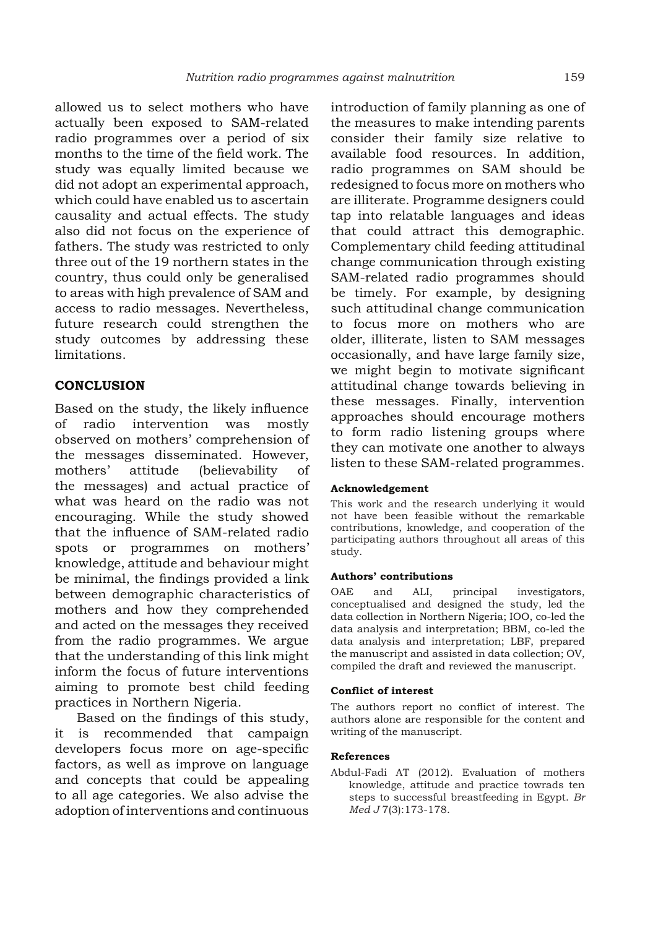allowed us to select mothers who have actually been exposed to SAM-related radio programmes over a period of six months to the time of the field work. The study was equally limited because we did not adopt an experimental approach, which could have enabled us to ascertain causality and actual effects. The study also did not focus on the experience of fathers. The study was restricted to only three out of the 19 northern states in the country, thus could only be generalised to areas with high prevalence of SAM and access to radio messages. Nevertheless, future research could strengthen the study outcomes by addressing these limitations.

## **CONCLUSION**

Based on the study, the likely influence of radio intervention was mostly observed on mothers' comprehension of the messages disseminated. However, mothers' attitude (believability of the messages) and actual practice of what was heard on the radio was not encouraging. While the study showed that the influence of SAM-related radio spots or programmes on mothers' knowledge, attitude and behaviour might be minimal, the findings provided a link between demographic characteristics of mothers and how they comprehended and acted on the messages they received from the radio programmes. We argue that the understanding of this link might inform the focus of future interventions aiming to promote best child feeding practices in Northern Nigeria.

Based on the findings of this study, it is recommended that campaign developers focus more on age-specific factors, as well as improve on language and concepts that could be appealing to all age categories. We also advise the adoption of interventions and continuous

introduction of family planning as one of the measures to make intending parents consider their family size relative to available food resources. In addition, radio programmes on SAM should be redesigned to focus more on mothers who are illiterate. Programme designers could tap into relatable languages and ideas that could attract this demographic. Complementary child feeding attitudinal change communication through existing SAM-related radio programmes should be timely. For example, by designing such attitudinal change communication to focus more on mothers who are older, illiterate, listen to SAM messages occasionally, and have large family size, we might begin to motivate significant attitudinal change towards believing in these messages. Finally, intervention approaches should encourage mothers to form radio listening groups where they can motivate one another to always listen to these SAM-related programmes.

#### **Acknowledgement**

This work and the research underlying it would not have been feasible without the remarkable contributions, knowledge, and cooperation of the participating authors throughout all areas of this study.

#### **Authors' contributions**

OAE and ALI, principal investigators, conceptualised and designed the study, led the data collection in Northern Nigeria; IOO, co-led the data analysis and interpretation; BBM, co-led the data analysis and interpretation; LBF, prepared the manuscript and assisted in data collection; OV, compiled the draft and reviewed the manuscript.

#### **Conflict of interest**

The authors report no conflict of interest. The authors alone are responsible for the content and writing of the manuscript.

#### **References**

Abdul-Fadi AT (2012). Evaluation of mothers knowledge, attitude and practice towrads ten steps to successful breastfeeding in Egypt. *Br Med J* 7(3):173-178.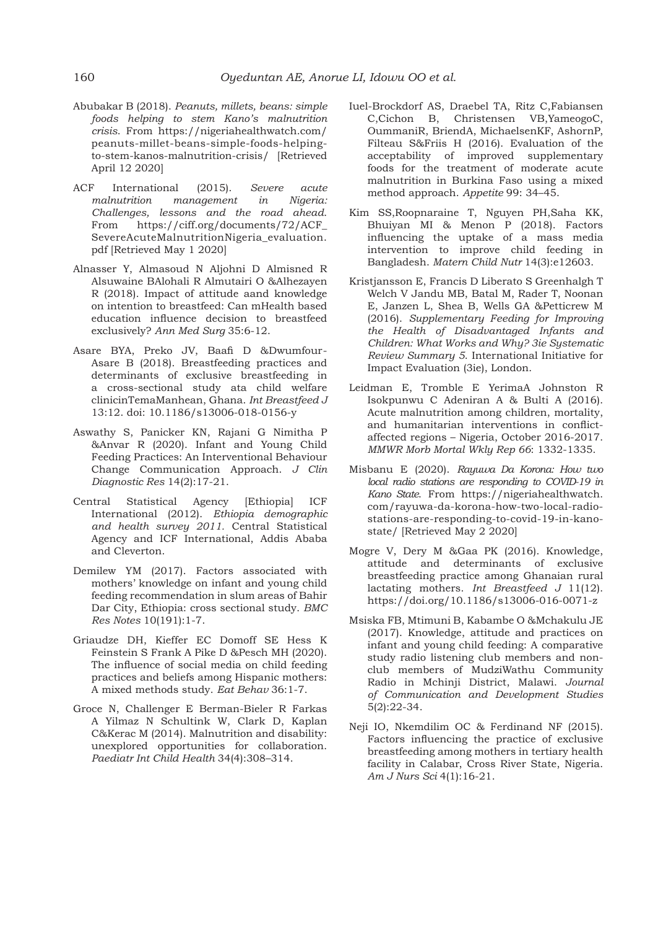- Abubakar B (2018). *Peanuts, millets, beans: simple foods helping to stem Kano's malnutrition crisis*. From https://nigeriahealthwatch.com/ peanuts-millet-beans-simple-foods-helpingto-stem-kanos-malnutrition-crisis/ [Retrieved April 12 2020]
- ACF International (2015). *Severe acute malnutrition management in Nigeria: Challenges, lessons and the road ahead*. From https://ciff.org/documents/72/ACF\_ SevereAcuteMalnutritionNigeria\_evaluation. pdf [Retrieved May 1 2020]
- Alnasser Y, Almasoud N Aljohni D Almisned R Alsuwaine BAlohali R Almutairi O &Alhezayen R (2018). Impact of attitude aand knowledge on intention to breastfeed: Can mHealth based education influence decision to breastfeed exclusively? *Ann Med Surg* 35:6-12.
- Asare BYA, Preko JV, Baafi D &Dwumfour-Asare B (2018). Breastfeeding practices and determinants of exclusive breastfeeding in a cross-sectional study ata child welfare clinicinTemaManhean, Ghana. *Int Breastfeed J*  13:12. doi: 10.1186/s13006-018-0156-y
- Aswathy S, Panicker KN, Rajani G Nimitha P &Anvar R (2020). Infant and Young Child Feeding Practices: An Interventional Behaviour Change Communication Approach. *J Clin Diagnostic Res* 14(2):17-21.
- Central Statistical Agency [Ethiopia] ICF International (2012). *Ethiopia demographic and health survey 2011.* Central Statistical Agency and ICF International, Addis Ababa and Cleverton.
- Demilew YM (2017). Factors associated with mothers' knowledge on infant and young child feeding recommendation in slum areas of Bahir Dar City, Ethiopia: cross sectional study. *BMC Res Notes* 10(191):1-7.
- Griaudze DH, Kieffer EC Domoff SE Hess K Feinstein S Frank A Pike D &Pesch MH (2020). The influence of social media on child feeding practices and beliefs among Hispanic mothers: A mixed methods study. *Eat Behav* 36:1-7.
- Groce N, Challenger E Berman-Bieler R Farkas A Yilmaz N Schultink W, Clark D, Kaplan C&Kerac M (2014). Malnutrition and disability: unexplored opportunities for collaboration. *Paediatr Int Child Health* 34(4):308–314.
- Iuel-Brockdorf AS, Draebel TA, Ritz C,Fabiansen C,Cichon B, Christensen VB,YameogoC, OummaniR, BriendA, MichaelsenKF, AshornP, Filteau S&Friis H (2016). Evaluation of the acceptability of improved supplementary foods for the treatment of moderate acute malnutrition in Burkina Faso using a mixed method approach. *Appetite* 99: 34–45.
- Kim SS,Roopnaraine T, Nguyen PH,Saha KK, Bhuiyan MI & Menon P (2018). Factors influencing the uptake of a mass media intervention to improve child feeding in Bangladesh. *Matern Child Nutr* 14(3):e12603.
- Kristjansson E, Francis D Liberato S Greenhalgh T Welch V Jandu MB, Batal M, Rader T, Noonan E, Janzen L, Shea B, Wells GA &Petticrew M (2016). *Supplementary Feeding for Improving the Health of Disadvantaged Infants and Children: What Works and Why? 3ie Systematic Review Summary 5*. International Initiative for Impact Evaluation (3ie), London.
- Leidman E, Tromble E YerimaA Johnston R Isokpunwu C Adeniran A & Bulti A (2016). Acute malnutrition among children, mortality, and humanitarian interventions in conflictaffected regions – Nigeria, October 2016-2017. *MMWR Morb Mortal Wkly Rep 66*: 1332-1335.
- Misbanu E (2020). *Rayuwa Da Korona: How two local radio stations are responding to COVID-19 in Kano State*. From https://nigeriahealthwatch. com/rayuwa-da-korona-how-two-local-radiostations-are-responding-to-covid-19-in-kanostate/ [Retrieved May 2 2020]
- Mogre V, Dery M &Gaa PK (2016). Knowledge, attitude and determinants of exclusive breastfeeding practice among Ghanaian rural lactating mothers. *Int Breastfeed J* 11(12). https://doi.org/10.1186/s13006-016-0071-z
- Msiska FB, Mtimuni B, Kabambe O &Mchakulu JE (2017). Knowledge, attitude and practices on infant and young child feeding: A comparative study radio listening club members and nonclub members of MudziWathu Community Radio in Mchinji District, Malawi. *Journal of Communication and Development Studies*  5(2):22-34.
- Neji IO, Nkemdilim OC & Ferdinand NF (2015). Factors influencing the practice of exclusive breastfeeding among mothers in tertiary health facility in Calabar, Cross River State, Nigeria. *Am J Nurs Sci* 4(1):16-21.